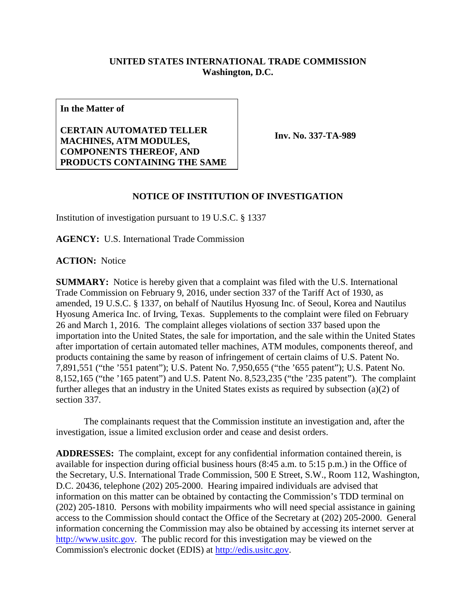## **UNITED STATES INTERNATIONAL TRADE COMMISSION Washington, D.C.**

**In the Matter of**

**CERTAIN AUTOMATED TELLER MACHINES, ATM MODULES, COMPONENTS THEREOF, AND PRODUCTS CONTAINING THE SAME**

**Inv. No. 337-TA-989**

## **NOTICE OF INSTITUTION OF INVESTIGATION**

Institution of investigation pursuant to 19 U.S.C. § 1337

**AGENCY:** U.S. International Trade Commission

**ACTION:** Notice

**SUMMARY:** Notice is hereby given that a complaint was filed with the U.S. International Trade Commission on February 9, 2016, under section 337 of the Tariff Act of 1930, as amended, 19 U.S.C. § 1337, on behalf of Nautilus Hyosung Inc. of Seoul, Korea and Nautilus Hyosung America Inc. of Irving, Texas. Supplements to the complaint were filed on February 26 and March 1, 2016. The complaint alleges violations of section 337 based upon the importation into the United States, the sale for importation, and the sale within the United States after importation of certain automated teller machines, ATM modules, components thereof, and products containing the same by reason of infringement of certain claims of U.S. Patent No. 7,891,551 ("the '551 patent"); U.S. Patent No. 7,950,655 ("the '655 patent"); U.S. Patent No. 8,152,165 ("the '165 patent") and U.S. Patent No. 8,523,235 ("the '235 patent"). The complaint further alleges that an industry in the United States exists as required by subsection (a)(2) of section 337.

The complainants request that the Commission institute an investigation and, after the investigation, issue a limited exclusion order and cease and desist orders.

**ADDRESSES:** The complaint, except for any confidential information contained therein, is available for inspection during official business hours (8:45 a.m. to 5:15 p.m.) in the Office of the Secretary, U.S. International Trade Commission, 500 E Street, S.W., Room 112, Washington, D.C. 20436, telephone (202) 205-2000. Hearing impaired individuals are advised that information on this matter can be obtained by contacting the Commission's TDD terminal on (202) 205-1810. Persons with mobility impairments who will need special assistance in gaining access to the Commission should contact the Office of the Secretary at (202) 205-2000. General information concerning the Commission may also be obtained by accessing its internet server at [http://www.usitc.gov.](http://www.usitc.gov/) The public record for this investigation may be viewed on the Commission's electronic docket (EDIS) at [http://edis.usitc.gov.](http://edis.usitc.gov/)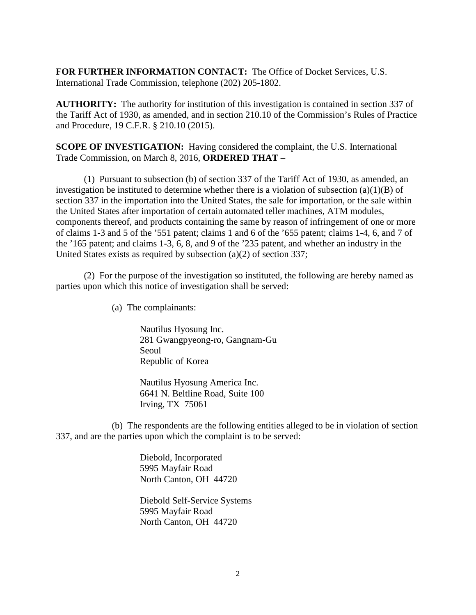**FOR FURTHER INFORMATION CONTACT:** The Office of Docket Services, U.S. International Trade Commission, telephone (202) 205-1802.

**AUTHORITY:** The authority for institution of this investigation is contained in section 337 of the Tariff Act of 1930, as amended, and in section 210.10 of the Commission's Rules of Practice and Procedure, 19 C.F.R. § 210.10 (2015).

**SCOPE OF INVESTIGATION:** Having considered the complaint, the U.S. International Trade Commission, on March 8, 2016, **ORDERED THAT** –

(1) Pursuant to subsection (b) of section 337 of the Tariff Act of 1930, as amended, an investigation be instituted to determine whether there is a violation of subsection (a)(1)(B) of section 337 in the importation into the United States, the sale for importation, or the sale within the United States after importation of certain automated teller machines, ATM modules, components thereof, and products containing the same by reason of infringement of one or more of claims 1-3 and 5 of the '551 patent; claims 1 and 6 of the '655 patent; claims 1-4, 6, and 7 of the '165 patent; and claims 1-3, 6, 8, and 9 of the '235 patent, and whether an industry in the United States exists as required by subsection (a)(2) of section 337;

(2) For the purpose of the investigation so instituted, the following are hereby named as parties upon which this notice of investigation shall be served:

(a) The complainants:

Nautilus Hyosung Inc. 281 Gwangpyeong-ro, Gangnam-Gu Seoul Republic of Korea

Nautilus Hyosung America Inc. 6641 N. Beltline Road, Suite 100 Irving, TX 75061

(b) The respondents are the following entities alleged to be in violation of section 337, and are the parties upon which the complaint is to be served:

> Diebold, Incorporated 5995 Mayfair Road North Canton, OH 44720

Diebold Self-Service Systems 5995 Mayfair Road North Canton, OH 44720